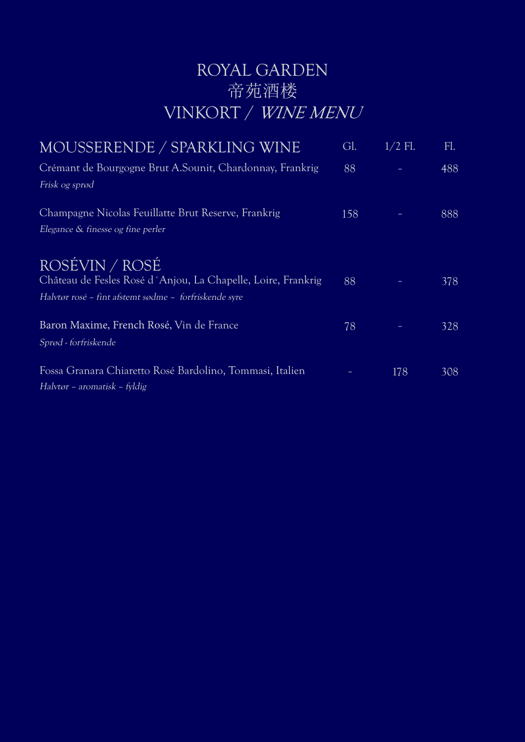# ROYAL GARDEN 帝苑酒楼 VINKORT / WINE MENU

| MOUSSERENDE / SPARKLING WINE                                                                                                            | Gl. | $1/2$ Fl. | Fl. |
|-----------------------------------------------------------------------------------------------------------------------------------------|-----|-----------|-----|
| Crémant de Bourgogne Brut A. Sounit, Chardonnay, Frankrig<br>Frisk og sprød                                                             | 88  |           | 488 |
| Champagne Nicolas Feuillatte Brut Reserve, Frankrig<br>Elegance & finesse og fine perler                                                | 158 |           | 888 |
| ROSÉVIN / ROSÉ<br>Château de Fesles Rosé d'Anjou, La Chapelle, Loire, Frankrig<br>Halvtør rosé – fint afstemt sødme – forfriskende syre | 88  |           | 378 |
| Baron Maxime, French Rosé, Vin de France<br>Sprød - forfriskende                                                                        | 78  |           | 328 |
| Fossa Granara Chiaretto Rosé Bardolino, Tommasi, Italien<br>Halvtør – aromatisk – fyldig                                                |     | 178       | 308 |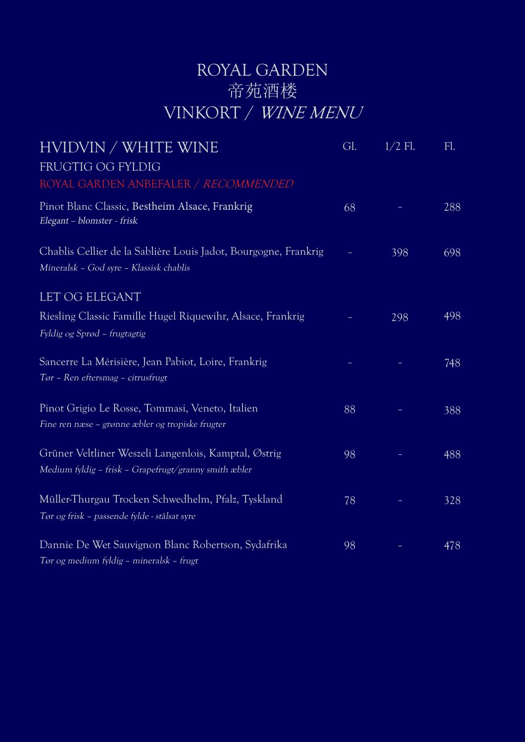## ROYAL GARDEN 帝苑酒楼 VINKORT / WINE MENU

| HVIDVIN / WHITE WINE<br>FRUGTIG OG FYLDIG                                                                     | Gl. | $1/2$ Fl. | FL. |
|---------------------------------------------------------------------------------------------------------------|-----|-----------|-----|
| ROYAL GARDEN ANBEFALER / RECOMMENDED                                                                          |     |           |     |
| Pinot Blanc Classic, Bestheim Alsace, Frankrig<br>Elegant - blomster - frisk                                  | 68  |           | 288 |
| Chablis Cellier de la Sablière Louis Jadot, Bourgogne, Frankrig<br>Mineralsk - God syre - Klassisk chablis    |     | 398       | 698 |
| LET OG ELEGANT                                                                                                |     |           |     |
| Riesling Classic Famille Hugel Riquewihr, Alsace, Frankrig<br>Fyldig og Sprød - frugtagtig                    |     | 298       | 498 |
| Sancerre La Mérisière, Jean Pabiot, Loire, Frankrig<br>Tør - Ren eftersmag - citrusfrugt                      |     |           | 748 |
| Pinot Grigio Le Rosse, Tommasi, Veneto, Italien<br>Fine ren næse - grønne æbler og tropiske frugter           | 88  |           | 388 |
| Grüner Veltliner Weszeli Langenlois, Kamptal, Østrig<br>Medium fyldig - frisk - Grapefrugt/granny smith æbler | 98  |           | 488 |
| Müller-Thurgau Trocken Schwedhelm, Pfalz, Tyskland<br>Tør og frisk - passende fylde - stålsat syre            | 78  |           | 328 |
| Dannie De Wet Sauvignon Blanc Robertson, Sydafrika<br>Tør og medium fyldig – mineralsk – frugt                | 98  |           | 478 |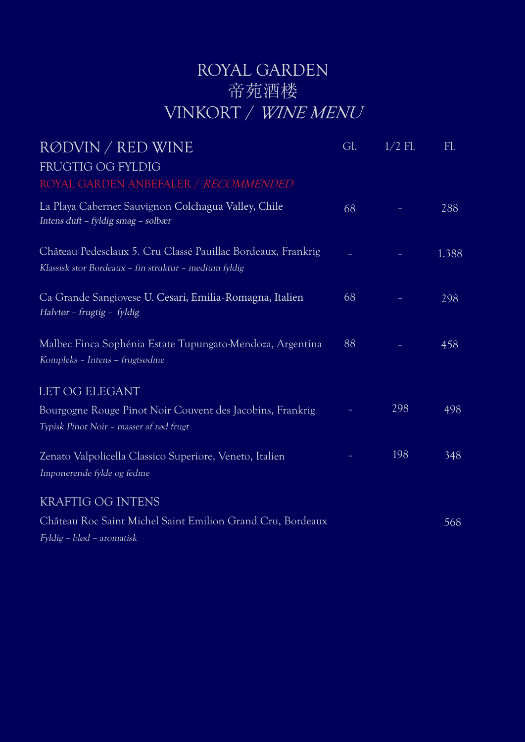# ROYAL GARDEN 帝苑酒楼 VINKORT / WINE MENU

| RØDVIN / RED WINE                                                                                                     | Gl. | $1/2$ Fl. | Fl.   |
|-----------------------------------------------------------------------------------------------------------------------|-----|-----------|-------|
| FRUGTIG OG FYLDIG<br>ROYAL GARDEN ANBEFALER / RECOMMENDED                                                             |     |           |       |
| La Playa Cabernet Sauvignon Colchagua Valley, Chile<br>Intens duft - fyldig smag - solbær                             | 68  |           | 288   |
| Château Pedesclaux 5. Cru Classé Pauillac Bordeaux, Frankrig<br>Klassisk stor Bordeaux - fin struktur - medium fyldig |     |           | 1.388 |
| Ca Grande Sangiovese U. Cesari, Emilia-Romagna, Italien<br>Halvtør – frugtig – fyldig                                 | 68  |           | 298   |
| Malbec Finca Sophénia Estate Tupungato-Mendoza, Argentina<br>Kompleks - Intens - frugtsødme                           | 88  |           | 458   |
| <b>LET OG ELEGANT</b>                                                                                                 |     |           |       |
| Bourgogne Rouge Pinot Noir Couvent des Jacobins, Frankrig<br>Typisk Pinot Noir - masser af rød frugt                  |     | 298       | 498   |
| Zenato Valpolicella Classico Superiore, Veneto, Italien<br>Imponerende fylde og fedme                                 |     | 198       | 348   |
| <b>KRAFTIG OG INTENS</b>                                                                                              |     |           |       |
| Château Roc Saint Michel Saint Emilion Grand Cru, Bordeaux<br>Fyldig - blød - aromatisk                               |     |           | 568   |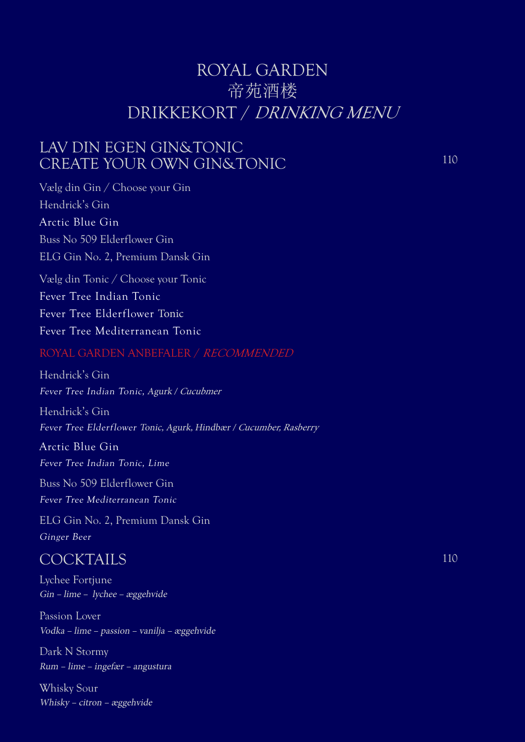### ROYAL GARDEN 帝苑酒楼 DRIKKEKORT / DRINKING MENU

### LAV DIN EGEN GIN&TONIC CREATE YOUR OWN GIN&TONIC

Vælg din Gin / Choose your Gin Hendrick's Gin Arctic Blue Gin Buss No 509 Elderflower Gin ELG Gin No. 2, Premium Dansk Gin

Vælg din Tonic / Choose your Tonic Fever Tree Indian Tonic Fever Tree Elderflower Tonic Fever Tree Mediterranean Tonic

#### ROYAL GARDEN ANBEFALER / RECOMMENDED

Hendrick's Gin Fever Tree Indian Tonic, Agurk / Cucubmer

Hendrick's Gin Fever Tree Elderflower Tonic, Agurk, Hindbær / Cucumber, Rasberry

Arctic Blue Gin

Fever Tree Indian Tonic, Lime

Buss No 509 Elderflower Gin

Fever Tree Mediterranean Tonic

ELG Gin No. 2, Premium Dansk Gin Ginger Beer

### **COCKTAILS**

Lychee Fortjune Gin – lime – lychee – æggehvide

Passion Lover Vodka – lime – passion – vanilja – æggehvide

Dark N Stormy Rum – lime – ingefær – angustura

Whisky Sour Whisky – citron – æggehvide 110

110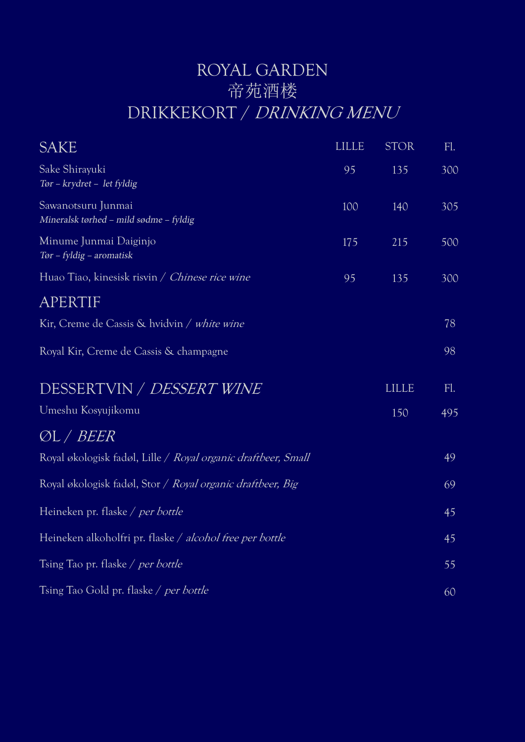## ROYAL GARDEN 帝苑酒楼 DRIKKEKORT / DRINKING MENU

| <b>SAKE</b>                                                   | <b>LILLE</b> | <b>STOR</b>  | FL. |
|---------------------------------------------------------------|--------------|--------------|-----|
| Sake Shirayuki<br>Tør - krydret - let fyldig                  | 95           | 135          | 300 |
| Sawanotsuru Junmai<br>Mineralsk tørhed - mild sødme - fyldig  | 100          | 140          | 305 |
| Minume Junmai Daiginjo<br>Tør - fyldig - aromatisk            | 175          | 215          | 500 |
| Huao Tiao, kinesisk risvin / Chinese rice wine                | 95           | 135          | 300 |
| APERTIF                                                       |              |              |     |
| Kir, Creme de Cassis & hvidvin / white wine                   |              |              | 78  |
| Royal Kir, Creme de Cassis & champagne                        |              |              | 98  |
| DESSERTVIN / DESSERT WINE                                     |              | <b>LILLE</b> | FL. |
| Umeshu Kosyujikomu                                            |              | 150          | 495 |
| ØL / <i>BEER</i>                                              |              |              |     |
| Royal økologisk fadøl, Lille / Royal organic draftbeer, Small |              |              | 49  |
| Royal økologisk fadøl, Stor / Royal organic draftbeer, Big    |              |              | 69  |
| Heineken pr. flaske / per bottle                              |              |              | 45  |
| Heineken alkoholfri pr. flaske / alcohol free per bottle      |              |              | 45  |
| Tsing Tao pr. flaske / per bottle                             |              |              | 55  |
| Tsing Tao Gold pr. flaske / per bottle                        |              |              | 60  |